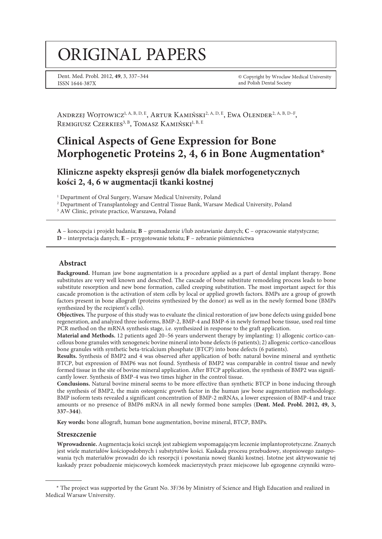# original papers

Dent. Med. Probl. 2012, **49**, 3, 337–344 ISSN 1644-387X

© Copyright by Wroclaw Medical University and Polish Dental Society

ANDRZEJ WOJTOWICZ<sup>1, A, B, D, E</sup>, ARTUR KAMIŃSKI<sup>2, A, D, E</sup>, EWA OLENDER<sup>2, A, B, D-F</sup>, REMIGIUSZ CZERKIES<sup>3, B</sup>, TOMASZ KAMIŃSKI<sup>I, B, E</sup>

# **Clinical Aspects of Gene Expression for Bone Morphogenetic Proteins 2, 4, 6 in Bone Augmentation\***

**Kliniczne aspekty ekspresji genów dla białek morfogenetycznych kości 2, 4, 6 w augmentacji tkanki kostnej**

<sup>1</sup> Department of Oral Surgery, Warsaw Medical University, Poland

2 Department of Transplantology and Central Tissue Bank, Warsaw Medical University, Poland

<sup>3</sup> AW Clinic, private practice, Warszawa, Poland

**A** – koncepcja i projekt badania; **B** – gromadzenie i/lub zestawianie danych; **C** – opracowanie statystyczne; **D** – interpretacja danych; **E** – przygotowanie tekstu; **F** – zebranie piśmiennictwa

#### **Abstract**

**Background.** Human jaw bone augmentation is a procedure applied as a part of dental implant therapy. Bone substitutes are very well known and described. The cascade of bone substitute remodeling process leads to bone substitute resorption and new bone formation, called creeping substitution. The most important aspect for this cascade promotion is the activation of stem cells by local or applied growth factors. BMPs are a group of growth factors present in bone allograft (proteins synthesized by the donor) as well as in the newly formed bone (BMPs synthesized by the recipient's cells).

**Objectives.** The purpose of this study was to evaluate the clinical restoration of jaw bone defects using guided bone regeneration, and analyzed three isoforms, BMP-2, BMP-4 and BMP-6 in newly formed bone tissue, used real time PCR method on the mRNA synthesis stage, i.e. synthesized in response to the graft application.

**Material and Methods.** 12 patients aged 20–56 years underwent therapy by implanting: 1) allogenic cortico-cancellous bone granules with xenogeneic bovine mineral into bone defects (6 patients); 2) allogenic cortico-cancellous bone granules with synthetic beta-tricalcium phosphate (BTCP) into bone defects (6 patients).

**Results.** Synthesis of BMP2 and 4 was observed after application of both: natural bovine mineral and synthetic BTCP, but expression of BMP6 was not found. Synthesis of BMP2 was comparable in control tissue and newly formed tissue in the site of bovine mineral application. After BTCP application, the synthesis of BMP2 was significantly lower. Synthesis of BMP-4 was two times higher in the control tissue.

**Conclusions.** Natural bovine mineral seems to be more effective than synthetic BTCP in bone inducing through the synthesis of BMP2, the main osteogenic growth factor in the human jaw bone augmentation methodology. BMP isoform tests revealed a significant concentration of BMP-2 mRNAs, a lower expression of BMP-4 and trace amounts or no presence of BMP6 mRNA in all newly formed bone samples (**Dent. Med. Probl. 2012, 49, 3, 337–344**).

**Key words:** bone allograft, human bone augmentation, bovine mineral, BTCP, BMPs.

#### **Streszczenie**

**Wprowadzenie.** Augmentacja kości szczęk jest zabiegiem wspomagającym leczenie implantoprotetyczne. Znanych jest wiele materiałów kościopodobnych i substytutów kości. Kaskada procesu przebudowy, stopniowego zastępowania tych materiałów prowadzi do ich resorpcji i powstania nowej tkanki kostnej. Istotne jest aktywowanie tej kaskady przez pobudzenie miejscowych komórek macierzystych przez miejscowe lub egzogenne czynniki wzro-

<sup>\*</sup> The project was supported by the Grant No. 3F/36 by Ministry of Science and High Education and realized in Medical Warsaw University.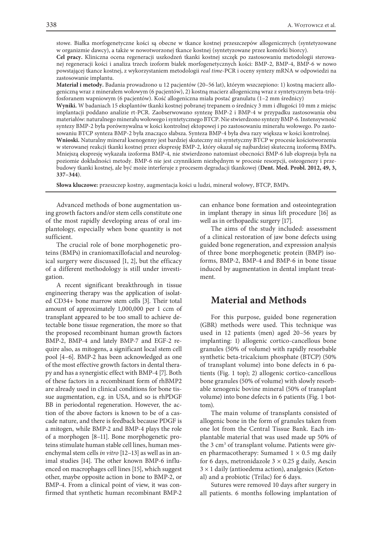stowe. Białka morfogenetyczne kości są obecne w tkance kostnej przeszczepów allogenicznych (syntetyzowane w organizmie dawcy), a także w nowotworzonej tkance kostnej (syntetyzowane przez komórki biorcy).

**Cel pracy.** Kliniczna ocena regeneracji uszkodzeń tkanki kostnej szczęk po zastosowaniu metodologii sterowanej regeneracji kości i analiza trzech izoform białek morfogenetycznych kości: BMP-2, BMP-4, BMP-6 w nowo powstającej tkance kostnej, z wykorzystaniem metodologii *real time*-PCR i oceny syntezy mRNA w odpowiedzi na zastosowanie implantu.

**Materiał i metody.** Badania prowadzono u 12 pacjentów (20–56 lat), którym wszczepiono: 1) kostną macierz allogeniczną wraz z minerałem wołowym (6 pacjentów), 2) kostną macierz allogeniczną wraz z syntetycznym beta-trójfosforanem wapniowym (6 pacjentów). Kość allogeniczna miała postać granulatu (1–2 mm średnicy)

**Wyniki.** W badaniach 15 eksplantów tkanki kostnej pobranej trepanem o średnicy 3 mm i długości 10 mm z miejsc implantacji poddano analizie rt-PCR. Zaobserwowano syntezę BMP-2 i BMP-4 w przypadku zastosowania obu materiałów: naturalnego minerału wołowego i syntetycznego BTCP. Nie stwierdzono syntezy BMP-6. Instensywność syntezy BMP-2 była porównywalna w kości kontrolnej ektopowej i po zastosowaniu minerału wołowego. Po zastosowaniu BTCP synteza BMP-2 była znacząco słabsza. Synteza BMP-4 była dwa razy większa w kości kontrolnej.

**Wnioski.** Naturalny minerał ksenogenny jest bardziej skuteczny niż syntetyczny BTCP w procesie kościotworzenia w sterowanej reakcji tkanki kostnej przez ekspresję BMP-2, który okazał się najbardziej skuteczną izoformą BMPs. Mniejszą ekspresję wykazała izoforma BMP-4, nie stwierdzono natomiast obecności BMP-6 lub ekspresja była na poziomie dokładności metody. BMP-6 nie jest czynnikiem niezbędnym w procesie resorpcji, osteogenezy i przebudowy tkanki kostnej, ale być może interferuje z procesem degradacji tkankowej (**Dent. Med. Probl. 2012, 49, 3, 337–344**).

**Słowa kluczowe:** przeszczep kostny, augmentacja kości u ludzi, minerał wołowy, BTCP, BMPs.

Advanced methods of bone augmentation using growth factors and/or stem cells constitute one of the most rapidly developing areas of oral implantology, especially when bone quantity is not sufficient.

The crucial role of bone morphogenetic proteins (BMPs) in craniomaxillofacial and neurological surgery were discussed [1, 2], but the efficacy of a different methodology is still under investigation.

A recent significant breakthrough in tissue engineering therapy was the application of isolated CD34+ bone marrow stem cells [3]. Their total amount of approximately 1,000,000 per 1 ccm of transplant appeared to be too small to achieve detectable bone tissue regeneration, the more so that the proposed recombinant human growth factors BMP-2, BMP-4 and lately BMP-7 and EGF-2 require also, as mitogens, a significant local stem cell pool [4–6]. BMP-2 has been acknowledged as one of the most effective growth factors in dental therapy and has a synergistic effect with BMP-4 [7]. Both of these factors in a recombinant form of rhBMP2 are already used in clinical conditions for bone tissue augmentation, e.g. in USA, and so is rhPDGF BB in periodontal regeneration. However, the action of the above factors is known to be of a cascade nature, and there is feedback because PDGF is a mitogen, while BMP-2 and BMP-4 plays the role of a morphogen [8–11]. Bone morphogenetic proteins stimulate human stable cell lines, human mesenchymal stem cells *in vitro* [12–13] as well as in animal studies [14]. The other known BMP-6 influenced on macrophages cell lines [15], which suggest other, maybe opposite action in bone to BMP-2, or BMP-4. From a clinical point of view, it was confirmed that synthetic human recombinant BMP-2

can enhance bone formation and osteointegration in implant therapy in sinus lift procedure [16] as well as in orthopaedic surgery [17].

The aims of the study included: assessment of a clinical restoration of jaw bone defects using guided bone regeneration, and expression analysis of three bone morphogenetic protein (BMP) isoforms, BMP-2, BMP-4 and BMP-6 in bone tissue induced by augmentation in dental implant treatment.

### **Material and Methods**

For this purpose, guided bone regeneration (GBR) methods were used. This technique was used in 12 patients (men) aged 20–56 years by implanting: 1) allogenic cortico-cancellous bone granules (50% of volume) with rapidly resorbable synthetic beta-tricalcium phosphate (BTCP) (50% of transplant volume) into bone defects in 6 patients (Fig. 1 top); 2) allogenic cortico-cancellous bone granules (50% of volume) with slowly resorbable xenogenic bovine mineral (50% of transplant volume) into bone defects in 6 patients (Fig. 1 bottom).

The main volume of transplants consisted of allogenic bone in the form of granules taken from one lot from the Central Tissue Bank. Each implantable material that was used made up 50% of the 3 cm<sup>3</sup> of transplant volume. Patients were given pharmacotherapy: Sumamed  $1 \times 0.5$  mg daily for 6 days, metronidazole  $3 \times 0.25$  g daily, Aescin  $3 \times 1$  daily (antioedema action), analgesics (Ketonal) and a probiotic (Trilac) for 6 days.

Sutures were removed 10 days after surgery in all patients. 6 months following implantation of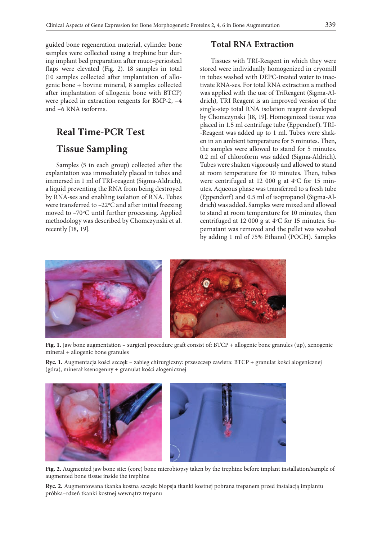guided bone regeneration material, cylinder bone samples were collected using a trephine bur during implant bed preparation after muco-periosteal flaps were elevated (Fig. 2). 18 samples in total (10 samples collected after implantation of allogenic bone + bovine mineral, 8 samples collected after implantation of allogenic bone with BTCP) were placed in extraction reagents for BMP-2, –4 and –6 RNA isoforms.

# **Real Time-PCR Test Tissue Sampling**

Samples (5 in each group) collected after the explantation was immediately placed in tubes and immersed in 1 ml of TRI-reagent (Sigma-Aldrich), a liquid preventing the RNA from being destroyed by RNA-ses and enabling isolation of RNA. Tubes were transferred to  $-22^{\circ}$ C and after initial freezing moved to -70°C until further processing. Applied methodology was described by Chomczynski et al. recently [18, 19].

## **Total RNA Extraction**

Tissues with TRI-Reagent in which they were stored were individually homogenized in cryomill in tubes washed with DEPC-treated water to inactivate RNA-ses. For total RNA extraction a method was applied with the use of TriReagent (Sigma-Aldrich), TRI Reagent is an improved version of the single-step total RNA isolation reagent developed by Chomczynski [18, 19]. Homogenized tissue was placed in 1.5 ml centrifuge tube (Eppendorf). TRI- -Reagent was added up to 1 ml. Tubes were shaken in an ambient temperature for 5 minutes. Then, the samples were allowed to stand for 5 minutes. 0.2 ml of chloroform was added (Sigma-Aldrich). Tubes were shaken vigorously and allowed to stand at room temperature for 10 minutes. Then, tubes were centrifuged at 12 000 g at  $4^{\circ}$ C for 15 minutes. Aqueous phase was transferred to a fresh tube (Eppendorf) and 0.5 ml of isopropanol (Sigma-Aldrich) was added. Samples were mixed and allowed to stand at room temperature for 10 minutes, then centrifuged at 12 000 g at 4°C for 15 minutes. Supernatant was removed and the pellet was washed by adding 1 ml of 75% Ethanol (POCH). Samples



**Fig. 1.** Jaw bone augmentation – surgical procedure graft consist of: BTCP + allogenic bone granules (up), xenogenic mineral + allogenic bone granules

**Ryc. 1.** Augmentacja kości szczęk – zabieg chirurgiczny: przeszczep zawiera: BTCP + granulat kości alogenicznej (góra), minerał ksenogenny + granulat kości alogenicznej



**Fig. 2.** Augmented jaw bone site: (core) bone microbiopsy taken by the trephine before implant installation/sample of augmented bone tissue inside the trephine

**Ryc. 2.** Augmentowana tkanka kostna szczęk: biopsja tkanki kostnej pobrana trepanem przed instalacją implantu próbka–rdzeń tkanki kostnej wewnątrz trepanu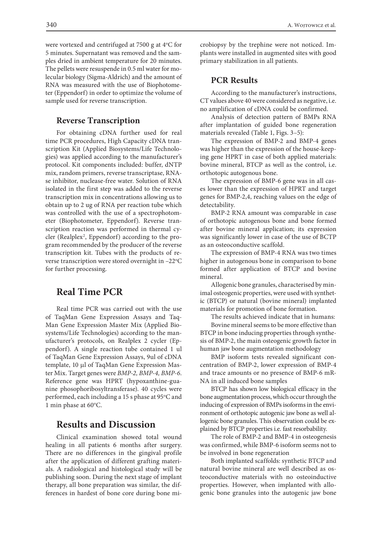were vortexed and centrifuged at 7500 g at 4°C for 5 minutes. Supernatant was removed and the samples dried in ambient temperature for 20 minutes. The pellets were resuspende in 0.5 ml water for molecular biology (Sigma-Aldrich) and the amount of RNA was measured with the use of Biophotometer (Eppendorf) in order to optimize the volume of sample used for reverse transcription.

#### **Reverse Transcription**

For obtaining cDNA further used for real time PCR procedures, High Capacity cDNA transcription Kit (Applied Biosystems/Life Technologies) was applied according to the manufacturer's protocol. Kit components included: buffer, dNTP mix, random primers, reverse transcriptase, RNAse inhibitor, nuclease-free water. Solution of RNA isolated in the first step was added to the reverse transcription mix in concentrations allowing us to obtain up to 2 ug of RNA per reaction tube which was controlled with the use of a spectrophotometer (Biophotometer, Eppendorf). Reverse transcription reaction was performed in thermal cycler (Realplex<sup>2</sup>, Eppendorf) according to the program recommended by the producer of the reverse transcription kit. Tubes with the products of reverse transcription were stored overnight in  $-22^{\circ}\text{C}$ for further processing.

# **Real Time PCR**

Real time PCR was carried out with the use of TaqMan Gene Expression Assays and Taq-Man Gene Expression Master Mix (Applied Biosystems/Life Technologies) according to the manufacturer's protocols, on Realplex 2 cycler (Eppendorf). A single reaction tube contained 1 ul of TaqMan Gene Expression Assays, 9ul of cDNA template, 10 µl of TaqMan Gene Expression Master Mix. Target genes were *BMP-2, BMP-4, BMP-6*. Reference gene was HPRT (hypoxanthine-guanine phosophoribosyltransferase). 40 cycles were performed, each including a 15 s phase at 95°C and 1 min phase at 60°C.

## **Results and Discussion**

Clinical examination showed total wound healing in all patients 6 months after surgery. There are no differences in the gingival profile after the application of different grafting materials. A radiological and histological study will be publishing soon. During the next stage of implant therapy, all bone preparation was similar, the differences in hardest of bone core during bone microbiopsy by the trephine were not noticed. Implants were installed in augmented sites with good primary stabilization in all patients.

#### **PCR Results**

According to the manufacturer's instructions, CT values above 40 were considered as negative, i.e. no amplification of cDNA could be confirmed.

Analysis of detection pattern of BMPs RNA after implantation of guided bone regeneration materials revealed (Table 1, Figs. 3–5):

The expression of BMP-2 and BMP-4 genes was higher than the expression of the house-keeping gene HPRT in case of both applied materials: bovine mineral, BTCP as well as the control, i.e. orthotopic autogenous bone.

The expression of BMP-6 gene was in all cases lower than the expression of HPRT and target genes for BMP-2,4, reaching values on the edge of detectability.

BMP-2 RNA amount was comparable in case of orthotopic autogenous bone and bone formed after bovine mineral application; its expression was significantly lower in case of the use of BCTP as an osteoconductive scaffold.

The expression of BMP-4 RNA was two times higher in autogenous bone in comparison to bone formed after application of BTCP and bovine mineral.

Allogenic bone granules, characterised by minimal osteogenic properties, were used with synthetic (BTCP) or natural (bovine mineral) implanted materials for promotion of bone formation.

The results achieved indicate that in humans:

Bovine mineral seems to be more effective than BTCP in bone inducing properties through synthesis of BMP-2, the main osteogenic growth factor in human jaw bone augmentation methodology

BMP isoform tests revealed significant concentration of BMP-2, lower expression of BMP-4 and trace amounts or no presence of BMP-6 mR-NA in all induced bone samples

BTCP has shown low biological efficacy in the bone augmentation process, which occur through the inducing of expression of BMPs isoforms in the environment of orthotopic autogenic jaw bone as well allogenic bone granules. This observation could be explained by BTCP properties i.e. fast resorbability.

The role of BMP-2 and BMP-4 in osteogenesis was confirmed, while BMP-6 isoform seems not to be involved in bone regeneration

Both implanted scaffolds: synthetic BTCP and natural bovine mineral are well described as osteoconductive materials with no osteoinductive properties. However, when implanted with allogenic bone granules into the autogenic jaw bone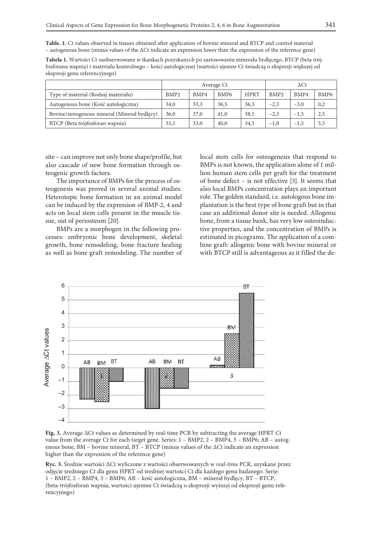**Table. 1.** Ct values observed in tissues obtained after application of bovine mineral and BTCP and control material – autogenous bone (minus values of the ∆Ct indicate an expression lower than the expression of the reference gene)

**Tabela 1.** Wartości Ct zaobserwowane w tkankach pozyskanych po zastosowaniu minerału bydlęcego, BTCP (beta trójfosforanu wapnia) i materiału kontrolnego – kości autologicznej (wartości ujemne Ct świadczą o ekspresji większej od ekspresji genu referencyjnego)

|                                             | Average Ct       |      |                  |             | $\Delta \mathrm{Ct}$ |        |                  |
|---------------------------------------------|------------------|------|------------------|-------------|----------------------|--------|------------------|
| Type of material (Rodzaj materiału)         | BMP <sub>2</sub> | BMP4 | BMP <sub>6</sub> | <b>HPRT</b> | BMP <sub>2</sub>     | BMP4   | BMP <sub>6</sub> |
| Autogenous bone (Kość autologiczna)         | 34,0             | 33,3 | 36,5             | 36,3        | $-2.3$               | $-3,0$ | 0,2              |
| Bovine/xenogenous mineral (Mineral bydlecy) | 36,0             | 37,0 | 41,0             | 38,5        | $-2.5$               | $-1,5$ | 2,5              |
| BTCP (Beta trójfosforan wapnia)             | 33,5             | 33,0 | 40,0             | 34,5        | $-1,0$               | $-1,5$ | 5,5              |

site – can improve not only bone shape/profile, but also cascade of new bone formation through osteogenic growth factors.

The importance of BMPs for the process of osteogenesis was proved in several animal studies. Heterotopic bone formation in an animal model can be induced by the expression of BMP-2, 4 and acts on local stem cells present in the muscle tissue, out of periosteum [20].

BMPs are a morphogen in the following processes: embryonic bone development, skeletal growth, bone remodeling, bone fracture healing as well as bone graft remodeling. The number of local stem cells for osteogenesis that respond to BMPs is not known, the application alone of 1 million human stem cells per graft for the treatment of bone defect – is not effective [3]. It seems that also local BMPs concentration plays an important role. The golden standard, i.e. autologous bone implantation is the best type of bone graft but in that case an additional donor site is needed. Allogenic bone, from a tissue bank, has very low osteoinductive properties, and the concentration of BMPs is estimated in picograms. The application of a combine graft: allogenic bone with bovine mineral or with BTCP still is advantageous as it filled the de-



**Fig. 3.** Average ∆Ct values as determined by real-time PCR by subtracting the average HPRT Ct value from the average Ct for each target gene. Series: 1 – BMP2, 2 – BMP4, 3 – BMP6; AB – autogenous bone, BM – bovine mineral, BT – BTCP (minus values of the ∆Ct indicate an expression higher than the expression of the reference gene)

**Ryc. 3.** Średnie wartości ∆Ct wyliczone z wartości obserwowanych w *real-time* PCR, uzyskane przez odjęcie średniego Ct dla genu HPRT od średniej wartości Ct dla każdego genu badanego. Serie: 1 – BMP2, 2 – BMP4, 3 – BMP6; AB – kość autologiczna, BM – minerał bydlęcy, BT – BTCP, (beta-trójfosforan wapnia, wartości ujemne Ct świadczą o ekspresji wyższej od ekspresji genu referencyjnego)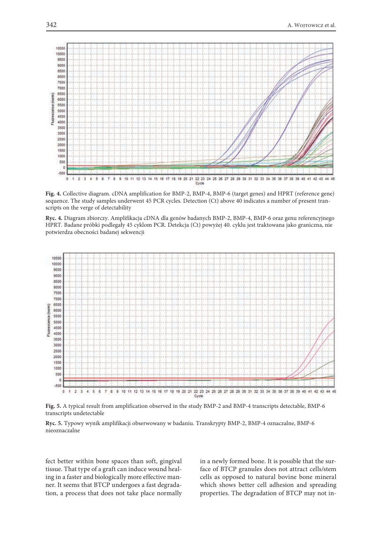

**Fig. 4.** Collective diagram. cDNA amplification for BMP-2, BMP-4, BMP-6 (target genes) and HPRT (reference gene) sequence. The study samples underwent 45 PCR cycles. Detection (Ct) above 40 indicates a number of present transcripts on the verge of detectability

**Ryc. 4.** Diagram zbiorczy. Amplifikacja cDNA dla genów badanych BMP-2, BMP-4, BMP-6 oraz genu referencyjnego HPRT. Badane próbki podlegały 45 cyklom PCR. Detekcja (Ct) powyżej 40. cyklu jest traktowana jako graniczna, nie potwierdza obecności badanej sekwencji



**Fig. 5.** A typical result from amplification observed in the study BMP-2 and BMP-4 transcripts detectable, BMP-6 transcripts undetectable

**Ryc. 5.** Typowy wynik amplifikacji obserwowany w badaniu. Transkrypty BMP-2, BMP-4 oznaczalne, BMP-6 nieoznaczalne

fect better within bone spaces than soft, gingival tissue. That type of a graft can induce wound healing in a faster and biologically more effective manner. It seems that BTCP undergoes a fast degradation, a process that does not take place normally in a newly formed bone. It is possible that the surface of BTCP granules does not attract cells/stem cells as opposed to natural bovine bone mineral which shows better cell adhesion and spreading properties. The degradation of BTCP may not in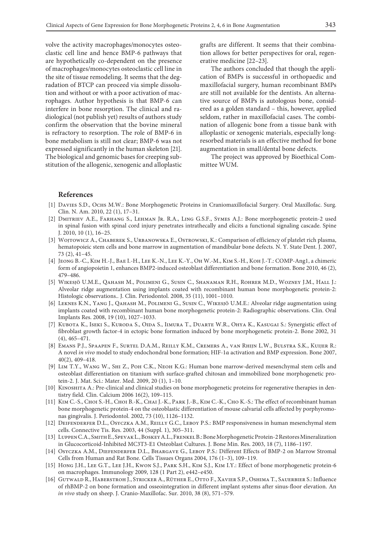volve the activity macrophages/monocytes osteoclastic cell line and hence BMP-6 pathways that are hypothetically co-dependent on the presence of macrophages/monocytes osteoclastic cell line in the site of tissue remodeling. It seems that the degradation of BTCP can proceed via simple dissolution and without or with a poor activation of macrophages. Author hypothesis is that BMP-6 can interfere in bone resorption. The clinical and radiological (not publish yet) results of authors study confirm the observation that the bovine mineral is refractory to resorption. The role of BMP-6 in bone metabolism is still not clear; BMP-6 was not expressed significantly in the human skeleton [21]. The biological and genomic bases for creeping substitution of the allogenic, xenogenic and alloplastic grafts are different. It seems that their combination allows for better perspectives for oral, regenerative medicine [22–23].

The authors concluded that though the application of BMPs is successful in orthopaedic and maxillofacial surgery, human recombinant BMPs are still not available for the dentists. An alternative source of BMPs is autologous bone, considered as a golden standard – this, however, applied seldom, rather in maxillofacial cases. The combination of allogenic bone from a tissue bank with alloplastic or xenogenic materials, especially longresorbed materials is an effective method for bone augmentation in small/dental bone defects.

The project was approved by Bioethical Committee WUM.

#### **References**

- [1] Davies S.D., Ochs M.W.: Bone Morphogenetic Proteins in Craniomaxillofacial Surgery. Oral Maxillofac. Surg. Clin. N. Am. 2010, 22 (1), 17–31.
- [2] Dmitriev A.E., Farhang S., Lehman Jr. R.A., Ling G.S.F., Symes A.J.: Bone morphogenetic protein-2 used in spinal fusion with spinal cord injury penetrates intrathecally and elicits a functional signaling cascade. Spine J. 2010, 10 (1), 16–25.
- [3] WOJTOWICZ A., CHABEREK S., URBANOWSKA E., OSTROWSKI, K.: Comparison of efficiency of platelet rich plasma, hematopoieic stem cells and bone marrow in augmentation of mandibular bone defects. N. Y. State Dent. J. 2007, 73 (2), 41–45.
- [4] Jeong B.-C., Kim H.-J., Bae I.-H., Lee K.-N., Lee K.-Y., Oh W.-M., Kim S.-H., Koh J.-T.: COMP-Ang1, a chimeric form of angiopoietin 1, enhances BMP2-induced osteoblast differentiation and bone formation. Bone 2010, 46 (2), 479–486.
- [5] Wikesjö U.M.E., Qahash M., Polimeni G., Susin C., Shanaman R.H., Rohrer M.D., Wozney J.M., Hall J.: Alveolar ridge augmentation using implants coated with recombinant human bone morphogenetic protein-2: Histologic observations.. J. Clin. Periodontol. 2008, 35 (11), 1001–1010.
- [6] Leknes K.N., Yang J., Qahash M., Polimeni G., Susin C., Wikesjö U.M.E.: Alveolar ridge augmentation using implants coated with recombinant human bone morphogenetic protein-2: Radiographic observations. Clin. Oral Implants Res. 2008, 19 (10), 1027–1033.
- [7] Kubota K., Iseki S., Kuroda S., Oida S., Iimura T., Duarte W.R., Ohya K., Kasugai S.: Synergistic effect of fibroblast growth factor-4 in ectopic bone formation induced by bone morphogenetic protein-2. Bone 2002, 31 (4), 465–471.
- [8] Emans P.J., Spaapen F., Surtel D.A.M., Reilly K.M., Cremers A., van Rhijn L.W., Bulstra S.K., Kuijer R.: A novel *in vivo* model to study endochondral bone formation; HIF-1α activation and BMP expression. Bone 2007, 40(2), 409–418.
- [9] Lim T.Y., Wang W., Shi Z., Poh C.K., Neoh K.G.: Human bone marrow-derived mesenchymal stem cells and osteoblast differentiation on titanium with surface-grafted chitosan and immobilized bone morphogenetic protein-2. J. Mat. Sci.: Mater. Med. 2009, 20 (1), 1–10.
- [10] KINOSHITA A.: Pre-clinical and clinical studies on bone morphogenetic proteins for regenerative therapies in dentistry field. Clin. Calcium 2006 16(2), 109–115.
- [11] Kim C.-S., Choi S.-H., Choi B.-K., Chai J.-K., Park J.-B., Kim C.-K., Cho K.-S.: The effect of recombinant human bone morphogenetic protein-4 on the osteoblastic differentiation of mouse calvarial cells affected by porphyromonas gingivalis. J. Periodontol. 2002, 73 (10), 1126–1132.
- [12] Deifenderfer D.L., Osyczka A.M., Reilly G.C., Leboy P.S.: BMP responsiveness in human mesenchymal stem cells. Connective Tis. Res. 2003, 44 (Suppl. 1), 305–311.
- [13] Luppen C.A., Smith E., Spevak L., Boskey A.L., Frenkel B.:Bone Morphogenetic Protein-2 Restores Mineralization in Glucocorticoid-Inhibited MC3T3-E1 Osteoblast Cultures. J. Bone Min. Res. 2003, 18 (7), 1186–1197.
- [14] Osyczka A.M., DIEFENDERFER D.L., BHARGAVE G., LEBOY P.S.: Different Effects of BMP-2 on Marrow Stromal Cells from Human and Rat Bone. Cells Tissues Organs 2004, 176 (1–3), 109–119.
- [15] Hong J.H., Lee G.T., Lee J.H., Kwon S.J., Park S.H., Kim S.J., Kim I.Y.: Effect of bone morphogenetic protein-6 on macrophages. Immunology 2009, 128 (1 Part 2), e442–e450.
- [16] GUTWALD R., HABERSTROH J., STRICKER A., RÜTHER E., OTTO F., XAVIER S.P., OSHIMA T., SAUERBIER S.: Influence of rhBMP-2 on bone formation and osseointegration in different implant systems after sinus-floor elevation. An *in vivo* study on sheep. J. Cranio-Maxillofac. Sur. 2010, 38 (8), 571–579.